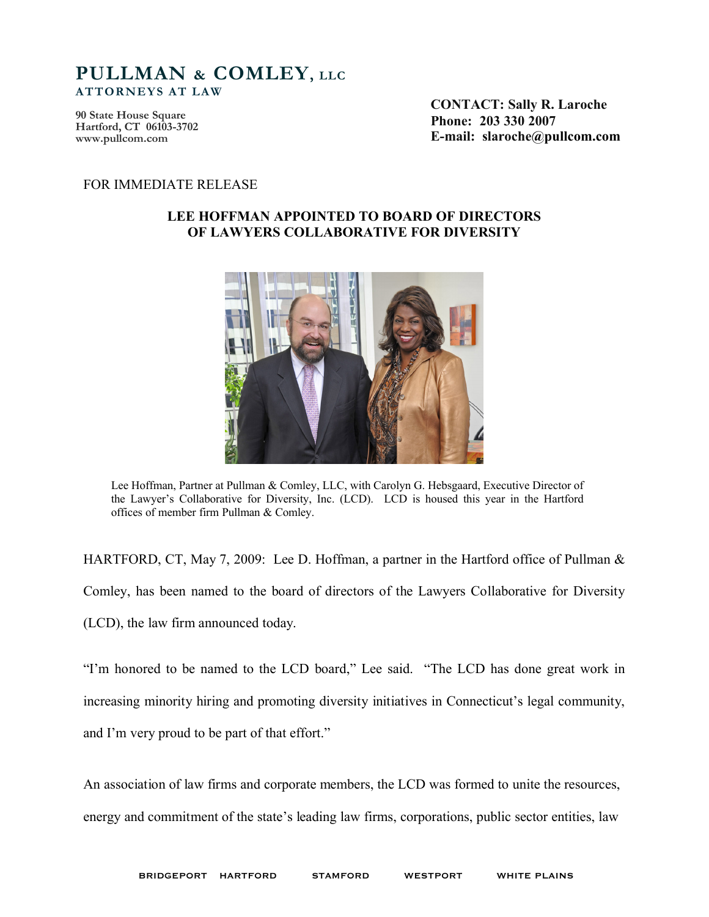## **PULLMAN & COMLEY, LLC ATTORNEYS AT LAW**

**90 State House Square Hartford, CT 06103-3702 <www.pullcom.com>**

**CONTACT: Sally R. Laroche Phone: 203 330 2007 E-mail: slaroche@pullcom.com**

#### FOR IMMEDIATE RELEASE

#### **LEE HOFFMAN APPOINTED TO BOARD OF DIRECTORS OF LAWYERS COLLABORATIVE FOR DIVERSITY**



Lee Hoffman, Partner at Pullman & Comley, LLC, with Carolyn G. Hebsgaard, Executive Director of the Lawyer's Collaborative for Diversity, Inc. (LCD). LCD is housed this year in the Hartford offices of member firm Pullman & Comley.

HARTFORD, CT, May 7, 2009: Lee D. Hoffman, a partner in the Hartford office of Pullman & Comley, has been named to the board of directors of the Lawyers Collaborative for Diversity (LCD), the law firm announced today.

"I'm honored to be named to the LCD board," Lee said. "The LCD has done great work in increasing minority hiring and promoting diversity initiatives in Connecticut's legal community, and I'm very proud to be part of that effort."

An association of law firms and corporate members, the LCD was formed to unite the resources, energy and commitment of the state's leading law firms, corporations, public sector entities, law